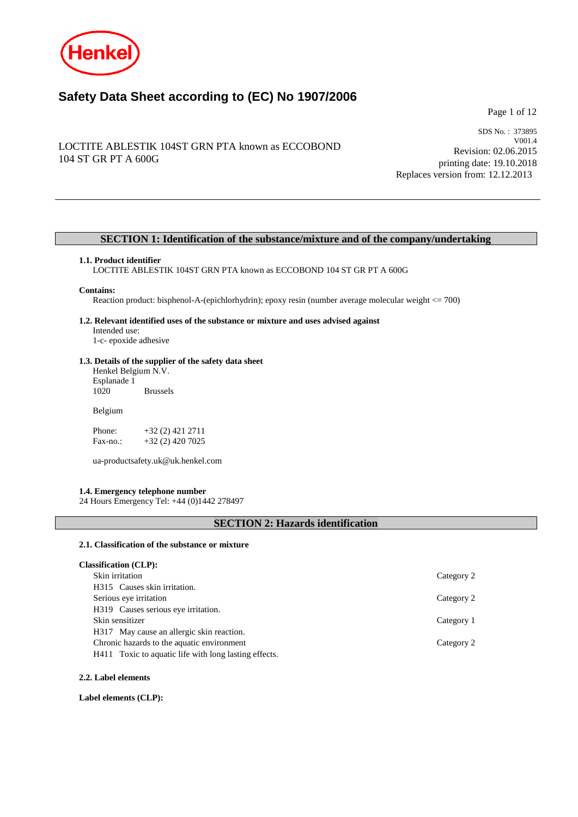

# **Safety Data Sheet according to (EC) No 1907/2006**

Page 1 of 12

# LOCTITE ABLESTIK 104ST GRN PTA known as ECCOBOND 104 ST GR PT A 600G

SDS No. : 373895 V001.4 Revision: 02.06.2015 printing date: 19.10.2018 Replaces version from: 12.12.2013

# **SECTION 1: Identification of the substance/mixture and of the company/undertaking**

#### **1.1. Product identifier**

LOCTITE ABLESTIK 104ST GRN PTA known as ECCOBOND 104 ST GR PT A 600G

#### **Contains:**

Reaction product: bisphenol-A-(epichlorhydrin); epoxy resin (number average molecular weight <= 700)

#### **1.2. Relevant identified uses of the substance or mixture and uses advised against** Intended use:

1-c- epoxide adhesive

# **1.3. Details of the supplier of the safety data sheet**

Henkel Belgium N.V. Esplanade 1 **Brussels** 

Belgium

Phone: +32 (2) 421 2711<br>Fax-no.: +32 (2) 420 7025 +32 (2) 420 7025

ua-productsafety.uk@uk.henkel.com

## **1.4. Emergency telephone number**

24 Hours Emergency Tel: +44 (0)1442 278497

# **SECTION 2: Hazards identification**

#### **2.1. Classification of the substance or mixture**

| <b>Classification (CLP):</b> |  |
|------------------------------|--|
|------------------------------|--|

| Skin irritation                                       | Category 2 |
|-------------------------------------------------------|------------|
| H315 Causes skin irritation.                          |            |
| Serious eye irritation                                | Category 2 |
| H319 Causes serious eye irritation.                   |            |
| Skin sensitizer                                       | Category 1 |
| H317 May cause an allergic skin reaction.             |            |
| Chronic hazards to the aquatic environment            | Category 2 |
| H411 Toxic to aquatic life with long lasting effects. |            |
|                                                       |            |

#### **2.2. Label elements**

**Label elements (CLP):**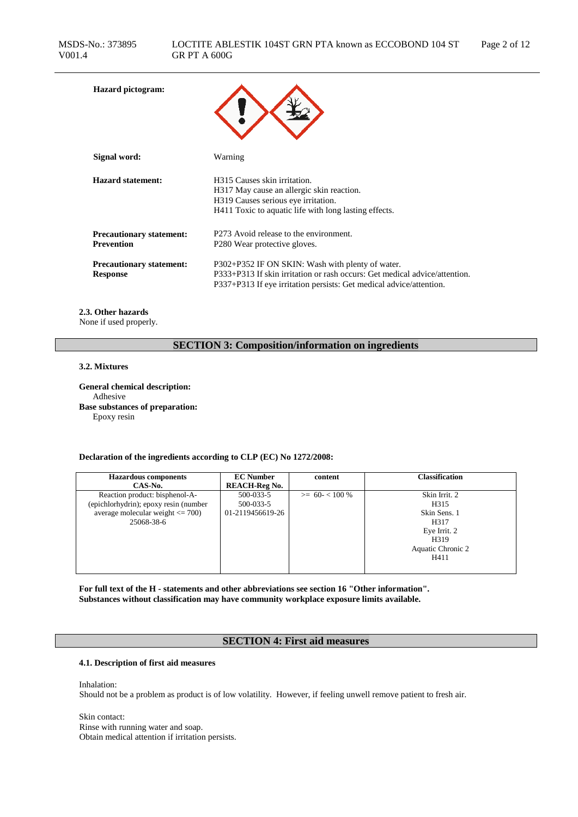| <b>Hazard</b> pictogram:                             |                                                                                                                                                                                                       |
|------------------------------------------------------|-------------------------------------------------------------------------------------------------------------------------------------------------------------------------------------------------------|
| Signal word:                                         | Warning                                                                                                                                                                                               |
| <b>Hazard statement:</b>                             | H315 Causes skin irritation.<br>H317 May cause an allergic skin reaction.<br>H319 Causes serious eye irritation.<br>H411 Toxic to aquatic life with long lasting effects.                             |
| <b>Precautionary statement:</b><br><b>Prevention</b> | P273 Avoid release to the environment.<br>P <sub>280</sub> Wear protective gloves.                                                                                                                    |
| <b>Precautionary statement:</b><br><b>Response</b>   | P302+P352 IF ON SKIN: Wash with plenty of water.<br>P333+P313 If skin irritation or rash occurs: Get medical advice/attention.<br>P337+P313 If eye irritation persists: Get medical advice/attention. |

# **2.3. Other hazards**

None if used properly.

# **SECTION 3: Composition/information on ingredients**

## **3.2. Mixtures**

**General chemical description:** Adhesive **Base substances of preparation:** Epoxy resin

## **Declaration of the ingredients according to CLP (EC) No 1272/2008:**

| <b>Hazardous components</b>           | <b>EC</b> Number     | content         | <b>Classification</b> |
|---------------------------------------|----------------------|-----------------|-----------------------|
| CAS-No.                               | <b>REACH-Reg No.</b> |                 |                       |
| Reaction product: bisphenol-A-        | 500-033-5            | $>= 60 - 100 %$ | Skin Irrit. 2         |
| (epichlorhydrin); epoxy resin (number | 500-033-5            |                 | H315                  |
| average molecular weight $\leq$ 700)  | 01-2119456619-26     |                 | Skin Sens. 1          |
| 25068-38-6                            |                      |                 | H317                  |
|                                       |                      |                 | Eye Irrit. 2          |
|                                       |                      |                 | H319                  |
|                                       |                      |                 | Aquatic Chronic 2     |
|                                       |                      |                 | H411                  |
|                                       |                      |                 |                       |

**For full text of the H - statements and other abbreviations see section 16 "Other information". Substances without classification may have community workplace exposure limits available.**

# **SECTION 4: First aid measures**

# **4.1. Description of first aid measures**

Inhalation:

Should not be a problem as product is of low volatility. However, if feeling unwell remove patient to fresh air.

Skin contact: Rinse with running water and soap. Obtain medical attention if irritation persists.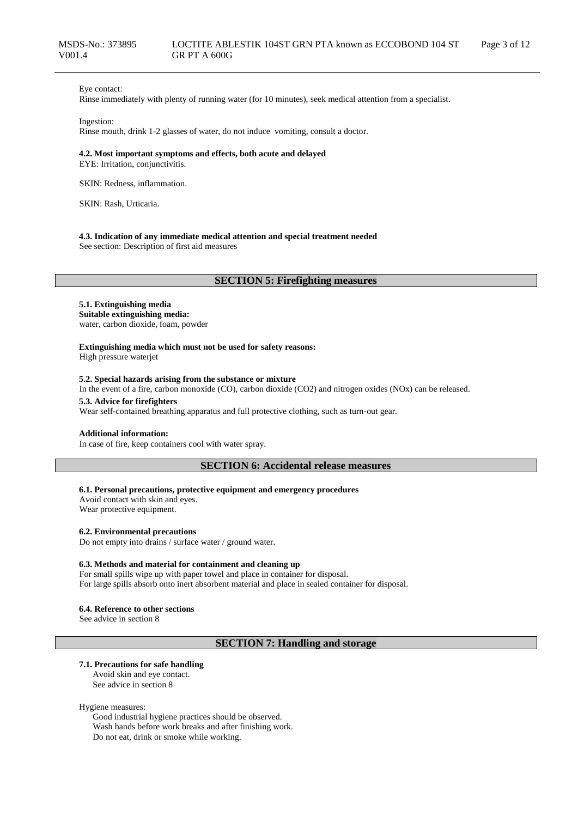## Eye contact:

Rinse immediately with plenty of running water (for 10 minutes), seek medical attention from a specialist.

#### Ingestion:

Rinse mouth, drink 1-2 glasses of water, do not induce vomiting, consult a doctor.

## **4.2. Most important symptoms and effects, both acute and delayed**

EYE: Irritation, conjunctivitis.

SKIN: Redness, inflammation.

SKIN: Rash, Urticaria.

#### **4.3. Indication of any immediate medical attention and special treatment needed**

See section: Description of first aid measures

# **SECTION 5: Firefighting measures**

#### **5.1. Extinguishing media Suitable extinguishing media:**

water, carbon dioxide, foam, powder

**Extinguishing media which must not be used for safety reasons:** High pressure waterjet

#### **5.2. Special hazards arising from the substance or mixture**

In the event of a fire, carbon monoxide (CO), carbon dioxide (CO2) and nitrogen oxides (NOx) can be released.

#### **5.3. Advice for firefighters**

Wear self-contained breathing apparatus and full protective clothing, such as turn-out gear.

## **Additional information:**

In case of fire, keep containers cool with water spray.

## **SECTION 6: Accidental release measures**

#### **6.1. Personal precautions, protective equipment and emergency procedures**

Avoid contact with skin and eyes. Wear protective equipment.

#### **6.2. Environmental precautions**

Do not empty into drains / surface water / ground water.

#### **6.3. Methods and material for containment and cleaning up**

For small spills wipe up with paper towel and place in container for disposal. For large spills absorb onto inert absorbent material and place in sealed container for disposal.

#### **6.4. Reference to other sections**

See advice in section 8

# **SECTION 7: Handling and storage**

#### **7.1. Precautions for safe handling**

Avoid skin and eye contact. See advice in section 8

#### Hygiene measures:

Good industrial hygiene practices should be observed. Wash hands before work breaks and after finishing work. Do not eat, drink or smoke while working.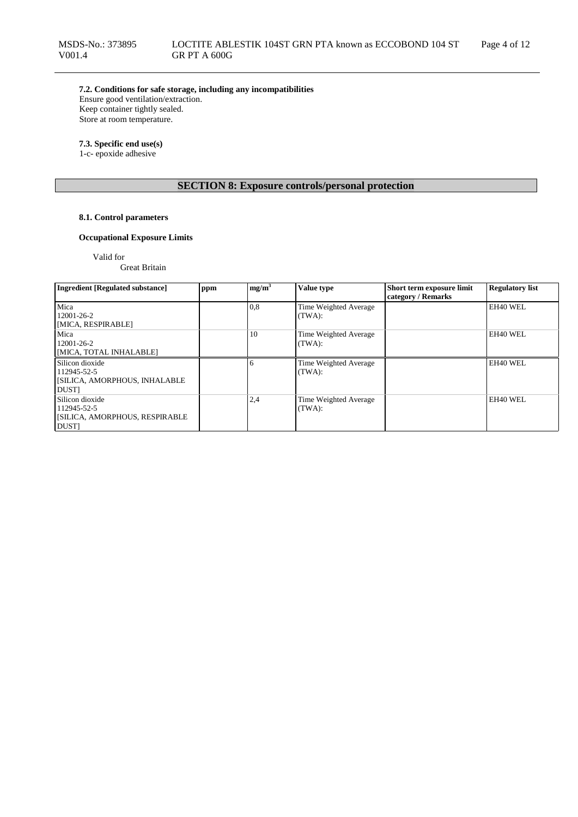**7.2. Conditions for safe storage, including any incompatibilities** Ensure good ventilation/extraction.

Keep container tightly sealed. Store at room temperature.

## **7.3. Specific end use(s)**

1-c- epoxide adhesive

# **SECTION 8: Exposure controls/personal protection**

## **8.1. Control parameters**

# **Occupational Exposure Limits**

Valid for

Great Britain

| <b>Ingredient [Regulated substance]</b> | ppm | mg/m <sup>3</sup> | Value type            | Short term exposure limit | <b>Regulatory list</b> |
|-----------------------------------------|-----|-------------------|-----------------------|---------------------------|------------------------|
|                                         |     |                   |                       | category / Remarks        |                        |
| Mica                                    |     | 0,8               | Time Weighted Average |                           | EH40 WEL               |
| 12001-26-2                              |     |                   | (TWA):                |                           |                        |
| [MICA, RESPIRABLE]                      |     |                   |                       |                           |                        |
| Mica                                    |     | 10                | Time Weighted Average |                           | EH40 WEL               |
| $12001 - 26 - 2$                        |     |                   | (TWA):                |                           |                        |
| [MICA, TOTAL INHALABLE]                 |     |                   |                       |                           |                        |
| Silicon dioxide                         |     |                   | Time Weighted Average |                           | EH40 WEL               |
| 112945-52-5                             |     |                   | (TWA):                |                           |                        |
| <b>SILICA, AMORPHOUS, INHALABLE</b>     |     |                   |                       |                           |                        |
| <b>DUST</b>                             |     |                   |                       |                           |                        |
| Silicon dioxide                         |     | 2,4               | Time Weighted Average |                           | EH40 WEL               |
| 112945-52-5                             |     |                   | (TWA):                |                           |                        |
| <b>SILICA, AMORPHOUS, RESPIRABLE</b>    |     |                   |                       |                           |                        |
| <b>DUST</b>                             |     |                   |                       |                           |                        |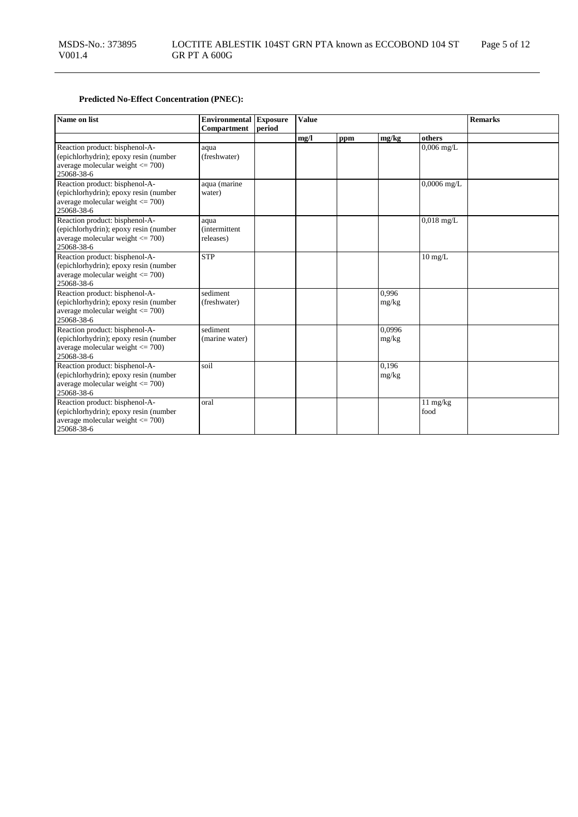# **Predicted No-Effect Concentration (PNEC):**

| Name on list                                                                                                                  | <b>Environmental</b> Exposure              |        | <b>Value</b> |     |                 |                            | <b>Remarks</b> |
|-------------------------------------------------------------------------------------------------------------------------------|--------------------------------------------|--------|--------------|-----|-----------------|----------------------------|----------------|
|                                                                                                                               | <b>Compartment</b>                         | period |              |     |                 |                            |                |
|                                                                                                                               |                                            |        | mg/l         | ppm | mg/kg           | others                     |                |
| Reaction product: bisphenol-A-<br>(epichlorhydrin); epoxy resin (number<br>average molecular weight $\leq$ 700)<br>25068-38-6 | aqua<br>(freshwater)                       |        |              |     |                 | $0,006$ mg/L               |                |
| Reaction product: bisphenol-A-<br>(epichlorhydrin); epoxy resin (number<br>average molecular weight $\leq$ 700)<br>25068-38-6 | aqua (marine<br>water)                     |        |              |     |                 | $0,0006$ mg/L              |                |
| Reaction product: bisphenol-A-<br>(epichlorhydrin); epoxy resin (number<br>average molecular weight $\leq$ 700)<br>25068-38-6 | aqua<br><i>(intermittent)</i><br>releases) |        |              |     |                 | $0,018$ mg/L               |                |
| Reaction product: bisphenol-A-<br>(epichlorhydrin); epoxy resin (number<br>average molecular weight $\leq$ 700)<br>25068-38-6 | <b>STP</b>                                 |        |              |     |                 | $10 \text{ mg/L}$          |                |
| Reaction product: bisphenol-A-<br>(epichlorhydrin); epoxy resin (number<br>average molecular weight $\leq$ 700)<br>25068-38-6 | sediment<br>(freshwater)                   |        |              |     | 0.996<br>mg/kg  |                            |                |
| Reaction product: bisphenol-A-<br>(epichlorhydrin); epoxy resin (number<br>average molecular weight $\leq$ 700)<br>25068-38-6 | sediment<br>(marine water)                 |        |              |     | 0,0996<br>mg/kg |                            |                |
| Reaction product: bisphenol-A-<br>(epichlorhydrin); epoxy resin (number<br>average molecular weight $\leq$ 700)<br>25068-38-6 | soil                                       |        |              |     | 0,196<br>mg/kg  |                            |                |
| Reaction product: bisphenol-A-<br>(epichlorhydrin); epoxy resin (number<br>average molecular weight $\leq$ 700)<br>25068-38-6 | oral                                       |        |              |     |                 | $11 \text{ mg/kg}$<br>food |                |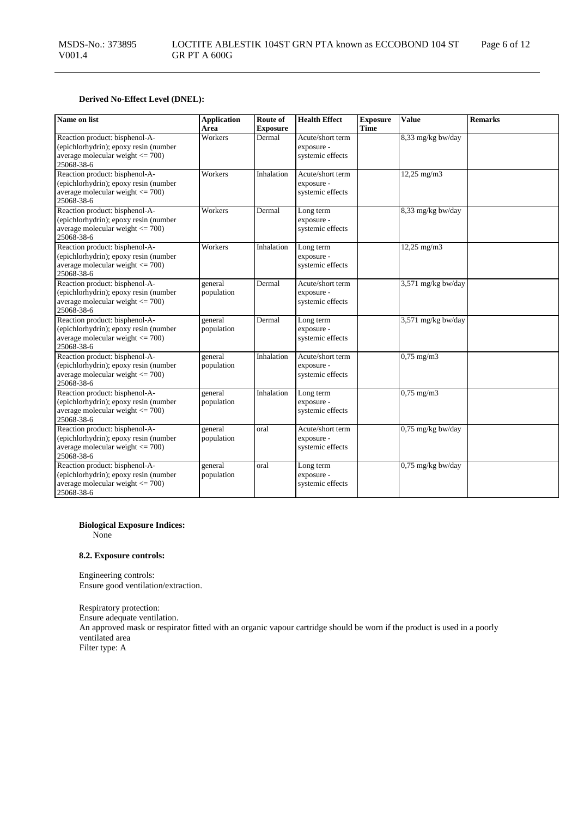# **Derived No-Effect Level (DNEL):**

| Name on list                                                                                                                  | <b>Application</b><br>Area | Route of<br><b>Exposure</b> | <b>Health Effect</b>                               | <b>Exposure</b><br><b>Time</b> | <b>Value</b>        | <b>Remarks</b> |
|-------------------------------------------------------------------------------------------------------------------------------|----------------------------|-----------------------------|----------------------------------------------------|--------------------------------|---------------------|----------------|
| Reaction product: bisphenol-A-<br>(epichlorhydrin); epoxy resin (number<br>average molecular weight $\leq$ 700)<br>25068-38-6 | Workers                    | Dermal                      | Acute/short term<br>exposure -<br>systemic effects |                                | 8,33 mg/kg bw/day   |                |
| Reaction product: bisphenol-A-<br>(epichlorhydrin); epoxy resin (number<br>average molecular weight $\leq$ 700)<br>25068-38-6 | Workers                    | Inhalation                  | Acute/short term<br>exposure -<br>systemic effects |                                | $12,25$ mg/m $3$    |                |
| Reaction product: bisphenol-A-<br>(epichlorhydrin); epoxy resin (number<br>average molecular weight $\leq$ 700)<br>25068-38-6 | Workers                    | Dermal                      | Long term<br>exposure -<br>systemic effects        |                                | 8,33 mg/kg bw/day   |                |
| Reaction product: bisphenol-A-<br>(epichlorhydrin); epoxy resin (number<br>average molecular weight $\leq$ 700)<br>25068-38-6 | Workers                    | Inhalation                  | Long term<br>exposure -<br>systemic effects        |                                | $12,25$ mg/m $3$    |                |
| Reaction product: bisphenol-A-<br>(epichlorhydrin); epoxy resin (number<br>average molecular weight <= 700)<br>25068-38-6     | general<br>population      | Dermal                      | Acute/short term<br>exposure -<br>systemic effects |                                | 3,571 mg/kg bw/day  |                |
| Reaction product: bisphenol-A-<br>(epichlorhydrin); epoxy resin (number<br>average molecular weight <= 700)<br>25068-38-6     | general<br>population      | Dermal                      | Long term<br>exposure -<br>systemic effects        |                                | 3,571 mg/kg bw/day  |                |
| Reaction product: bisphenol-A-<br>(epichlorhydrin); epoxy resin (number<br>average molecular weight $\leq$ 700)<br>25068-38-6 | general<br>population      | Inhalation                  | Acute/short term<br>exposure -<br>systemic effects |                                | $0,75$ mg/m $3$     |                |
| Reaction product: bisphenol-A-<br>(epichlorhydrin); epoxy resin (number<br>average molecular weight $\leq$ 700)<br>25068-38-6 | general<br>population      | Inhalation                  | Long term<br>exposure -<br>systemic effects        |                                | $0,75$ mg/m $3$     |                |
| Reaction product: bisphenol-A-<br>(epichlorhydrin); epoxy resin (number<br>average molecular weight $\leq$ 700)<br>25068-38-6 | general<br>population      | oral                        | Acute/short term<br>exposure -<br>systemic effects |                                | $0.75$ mg/kg bw/day |                |
| Reaction product: bisphenol-A-<br>(epichlorhydrin); epoxy resin (number<br>average molecular weight <= 700)<br>25068-38-6     | general<br>population      | oral                        | Long term<br>exposure -<br>systemic effects        |                                | $0,75$ mg/kg bw/day |                |

## **Biological Exposure Indices:**

None

## **8.2. Exposure controls:**

Engineering controls: Ensure good ventilation/extraction.

Respiratory protection: Ensure adequate ventilation. An approved mask or respirator fitted with an organic vapour cartridge should be worn if the product is used in a poorly ventilated area Filter type: A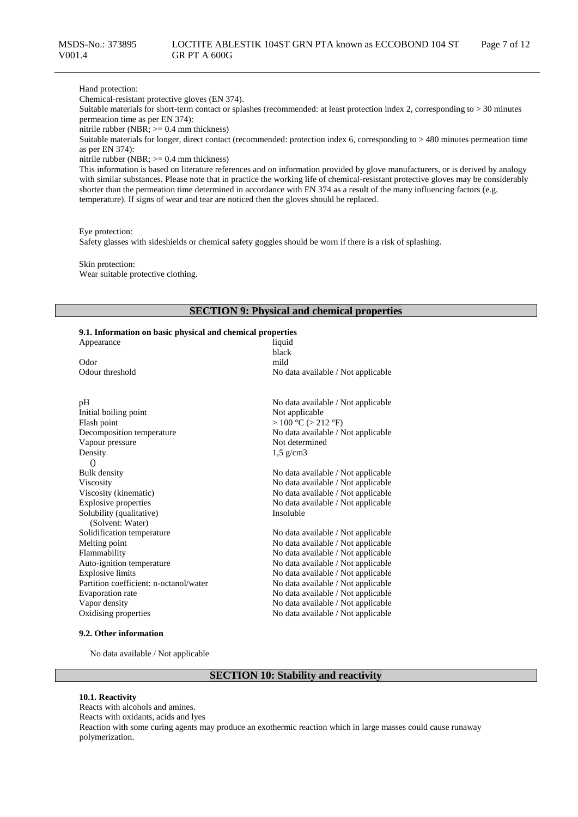#### Hand protection:

Chemical-resistant protective gloves (EN 374).

Suitable materials for short-term contact or splashes (recommended: at least protection index 2, corresponding to > 30 minutes permeation time as per EN 374):

nitrile rubber (NBR; >= 0.4 mm thickness)

Suitable materials for longer, direct contact (recommended: protection index 6, corresponding to > 480 minutes permeation time as per EN 374):

nitrile rubber (NBR; >= 0.4 mm thickness)

This information is based on literature references and on information provided by glove manufacturers, or is derived by analogy with similar substances. Please note that in practice the working life of chemical-resistant protective gloves may be considerably shorter than the permeation time determined in accordance with EN 374 as a result of the many influencing factors (e.g. temperature). If signs of wear and tear are noticed then the gloves should be replaced.

Eye protection:

Safety glasses with sideshields or chemical safety goggles should be worn if there is a risk of splashing.

Skin protection: Wear suitable protective clothing.

## **SECTION 9: Physical and chemical properties**

#### **9.1. Information on basic physical and chemical properties**

| Appearance                             | liquid<br>black                    |
|----------------------------------------|------------------------------------|
| Odor                                   | mild                               |
| Odour threshold                        |                                    |
|                                        | No data available / Not applicable |
|                                        |                                    |
| pH                                     | No data available / Not applicable |
| Initial boiling point                  | Not applicable                     |
| Flash point                            | > 100 °C (> 212 °F)                |
| Decomposition temperature              | No data available / Not applicable |
| Vapour pressure                        | Not determined                     |
| Density                                | $1,5$ g/cm3                        |
| $\bigcirc$                             |                                    |
| <b>Bulk density</b>                    | No data available / Not applicable |
| Viscosity                              | No data available / Not applicable |
| Viscosity (kinematic)                  | No data available / Not applicable |
| <b>Explosive properties</b>            | No data available / Not applicable |
| Solubility (qualitative)               | Insoluble                          |
| (Solvent: Water)                       |                                    |
| Solidification temperature             | No data available / Not applicable |
| Melting point                          | No data available / Not applicable |
| Flammability                           | No data available / Not applicable |
| Auto-ignition temperature              | No data available / Not applicable |
| <b>Explosive limits</b>                | No data available / Not applicable |
| Partition coefficient: n-octanol/water | No data available / Not applicable |
| Evaporation rate                       | No data available / Not applicable |
| Vapor density                          | No data available / Not applicable |
| Oxidising properties                   | No data available / Not applicable |
|                                        |                                    |

## **9.2. Other information**

No data available / Not applicable

# **SECTION 10: Stability and reactivity**

#### **10.1. Reactivity**

Reacts with alcohols and amines. Reacts with oxidants, acids and lyes Reaction with some curing agents may produce an exothermic reaction which in large masses could cause runaway polymerization.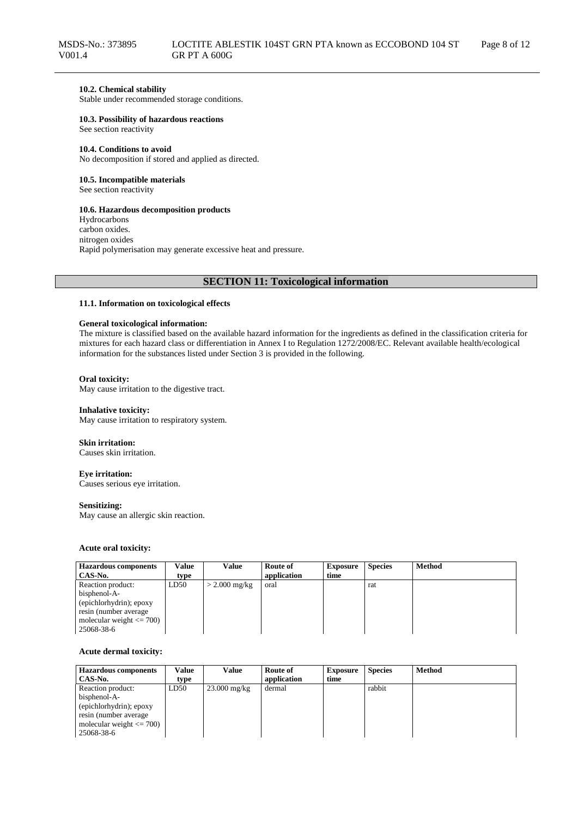## **10.2. Chemical stability**

Stable under recommended storage conditions.

#### **10.3. Possibility of hazardous reactions**

See section reactivity

#### **10.4. Conditions to avoid**

No decomposition if stored and applied as directed.

## **10.5. Incompatible materials**

See section reactivity

## **10.6. Hazardous decomposition products**

Hydrocarbons carbon oxides. nitrogen oxides Rapid polymerisation may generate excessive heat and pressure.

# **SECTION 11: Toxicological information**

## **11.1. Information on toxicological effects**

#### **General toxicological information:**

The mixture is classified based on the available hazard information for the ingredients as defined in the classification criteria for mixtures for each hazard class or differentiation in Annex I to Regulation 1272/2008/EC. Relevant available health/ecological information for the substances listed under Section 3 is provided in the following.

## **Oral toxicity:**

May cause irritation to the digestive tract.

#### **Inhalative toxicity:**

May cause irritation to respiratory system.

#### **Skin irritation:**

Causes skin irritation.

## **Eye irritation:**

Causes serious eye irritation.

#### **Sensitizing:**

May cause an allergic skin reaction.

## **Acute oral toxicity:**

| <b>Hazardous components</b>  | Value | Value           | Route of    | <b>Exposure</b> | <b>Species</b> | <b>Method</b> |
|------------------------------|-------|-----------------|-------------|-----------------|----------------|---------------|
| CAS-No.                      | type  |                 | application | time            |                |               |
| Reaction product:            | LD50  | $>$ 2.000 mg/kg | oral        |                 | rat            |               |
| bisphenol-A-                 |       |                 |             |                 |                |               |
| (epichlorhydrin); epoxy      |       |                 |             |                 |                |               |
| resin (number average)       |       |                 |             |                 |                |               |
| molecular weight $\leq$ 700) |       |                 |             |                 |                |               |
| 25068-38-6                   |       |                 |             |                 |                |               |

#### **Acute dermal toxicity:**

| <b>Hazardous components</b>  | Value | Value          | Route of    | <b>Exposure</b> | <b>Species</b> | <b>Method</b> |
|------------------------------|-------|----------------|-------------|-----------------|----------------|---------------|
| CAS-No.                      | type  |                | application | time            |                |               |
| Reaction product:            | LD50  | $23.000$ mg/kg | dermal      |                 | rabbit         |               |
| bisphenol-A-                 |       |                |             |                 |                |               |
| (epichlorhydrin); epoxy      |       |                |             |                 |                |               |
| resin (number average        |       |                |             |                 |                |               |
| molecular weight $\leq$ 700) |       |                |             |                 |                |               |
| 25068-38-6                   |       |                |             |                 |                |               |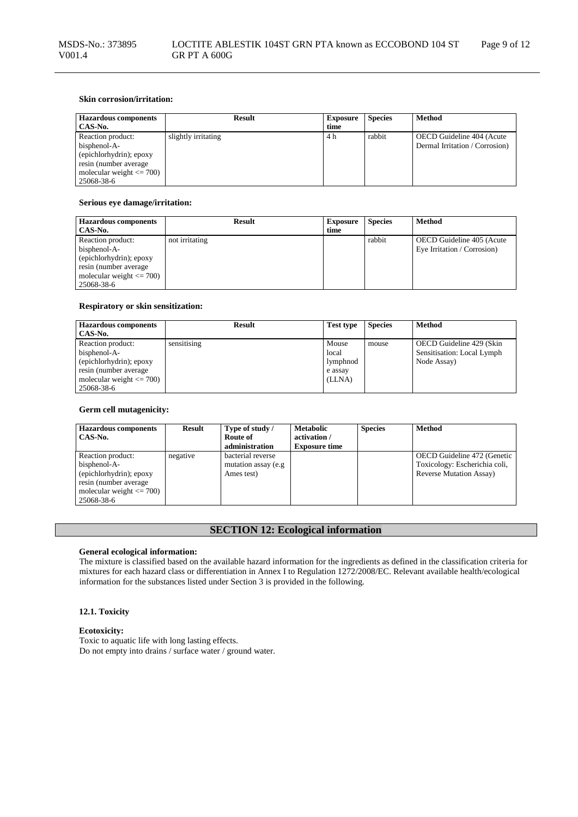## **Skin corrosion/irritation:**

| <b>Hazardous components</b>  | <b>Result</b>       | <b>Exposure</b> | <b>Species</b> | <b>Method</b>                  |
|------------------------------|---------------------|-----------------|----------------|--------------------------------|
| CAS-No.                      |                     | time            |                |                                |
| Reaction product:            | slightly irritating | 4 h             | rabbit         | OECD Guideline 404 (Acute      |
| bisphenol-A-                 |                     |                 |                | Dermal Irritation / Corrosion) |
| (epichlorhydrin); epoxy      |                     |                 |                |                                |
| resin (number average)       |                     |                 |                |                                |
| molecular weight $\leq$ 700) |                     |                 |                |                                |
| 25068-38-6                   |                     |                 |                |                                |

## **Serious eye damage/irritation:**

| <b>Hazardous components</b>  | <b>Result</b>  | <b>Exposure</b> | <b>Species</b> | <b>Method</b>               |
|------------------------------|----------------|-----------------|----------------|-----------------------------|
| CAS-No.                      |                | time            |                |                             |
| Reaction product:            | not irritating |                 | rabbit         | OECD Guideline 405 (Acute   |
| bisphenol-A-                 |                |                 |                | Eye Irritation / Corrosion) |
| (epichlorhydrin); epoxy      |                |                 |                |                             |
| resin (number average        |                |                 |                |                             |
| molecular weight $\leq$ 700) |                |                 |                |                             |
| 25068-38-6                   |                |                 |                |                             |

## **Respiratory or skin sensitization:**

| <b>Hazardous components</b><br>CAS-No. | <b>Result</b> | <b>Test type</b> | <b>Species</b> | <b>Method</b>              |
|----------------------------------------|---------------|------------------|----------------|----------------------------|
| Reaction product:                      | sensitising   | Mouse            | mouse          | OECD Guideline 429 (Skin   |
| bisphenol-A-                           |               | local            |                | Sensitisation: Local Lymph |
| (epichlorhydrin); epoxy                |               | lymphnod         |                | Node Assay)                |
| resin (number average                  |               | e assay          |                |                            |
| molecular weight $\leq$ 700)           |               | (LLNA)           |                |                            |
| 25068-38-6                             |               |                  |                |                            |

## **Germ cell mutagenicity:**

| <b>Hazardous components</b><br>CAS-No.                                                                                               | Result   | Type of study /<br>Route of<br>administration           | <b>Metabolic</b><br>activation /<br><b>Exposure time</b> | <b>Species</b> | <b>Method</b>                                                                                   |
|--------------------------------------------------------------------------------------------------------------------------------------|----------|---------------------------------------------------------|----------------------------------------------------------|----------------|-------------------------------------------------------------------------------------------------|
| Reaction product:<br>bisphenol-A-<br>(epichlorhydrin); epoxy<br>resin (number average)<br>molecular weight $\leq$ 700)<br>25068-38-6 | negative | bacterial reverse<br>mutation assay (e.g.<br>Ames test) |                                                          |                | OECD Guideline 472 (Genetic<br>Toxicology: Escherichia coli,<br><b>Reverse Mutation Assay</b> ) |

# **SECTION 12: Ecological information**

## **General ecological information:**

The mixture is classified based on the available hazard information for the ingredients as defined in the classification criteria for mixtures for each hazard class or differentiation in Annex I to Regulation 1272/2008/EC. Relevant available health/ecological information for the substances listed under Section 3 is provided in the following.

# **12.1. Toxicity**

## **Ecotoxicity:**

Toxic to aquatic life with long lasting effects. Do not empty into drains / surface water / ground water.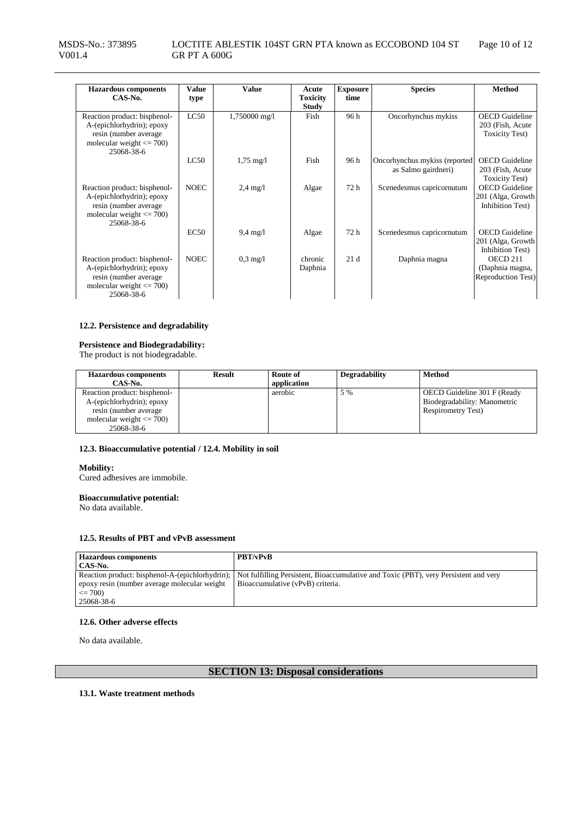| <b>Hazardous</b> components<br>$CAS-N0$ .                                                                                         | <b>Value</b><br>type | <b>Value</b>        | Acute<br><b>Toxicity</b><br><b>Study</b> | <b>Exposure</b><br>time | <b>Species</b>                                       | <b>Method</b>                                                        |
|-----------------------------------------------------------------------------------------------------------------------------------|----------------------|---------------------|------------------------------------------|-------------------------|------------------------------------------------------|----------------------------------------------------------------------|
| Reaction product: bisphenol-<br>A-(epichlorhydrin); epoxy<br>resin (number average)<br>molecular weight $\leq$ 700)<br>25068-38-6 | LC50                 | 1,750000 mg/l       | Fish                                     | 96h                     | Oncorhynchus mykiss                                  | <b>OECD</b> Guideline<br>203 (Fish, Acute)<br><b>Toxicity Test</b> ) |
|                                                                                                                                   | LC50                 | $1.75 \text{ mg}/1$ | Fish                                     | 96 h                    | Oncorhynchus mykiss (reported<br>as Salmo gairdneri) | <b>OECD</b> Guideline<br>203 (Fish, Acute)<br><b>Toxicity Test</b> ) |
| Reaction product: bisphenol-<br>A-(epichlorhydrin); epoxy<br>resin (number average)<br>molecular weight $\leq$ 700)<br>25068-38-6 | <b>NOEC</b>          | $2.4 \text{ mg}/1$  | Algae                                    | 72 h                    | Scenedesmus capricornutum                            | <b>OECD</b> Guideline<br>201 (Alga, Growth<br>Inhibition Test)       |
|                                                                                                                                   | EC50                 | $9,4 \text{ mg}/1$  | Algae                                    | 72 h                    | Scenedesmus capricornutum                            | <b>OECD</b> Guideline<br>201 (Alga, Growth<br>Inhibition Test)       |
| Reaction product: bisphenol-<br>A-(epichlorhydrin); epoxy<br>resin (number average<br>molecular weight $\leq$ 700)<br>25068-38-6  | <b>NOEC</b>          | $0.3 \text{ mg}/1$  | chronic<br>Daphnia                       | 21d                     | Daphnia magna                                        | OECD 211<br>(Daphnia magna,<br><b>Reproduction Test)</b>             |

## **12.2. Persistence and degradability**

# **Persistence and Biodegradability:**

The product is not biodegradable.

| <b>Hazardous components</b><br>CAS-No.                                                                                            | Result | Route of<br>application | <b>Degradability</b> | <b>Method</b>                                                                            |
|-----------------------------------------------------------------------------------------------------------------------------------|--------|-------------------------|----------------------|------------------------------------------------------------------------------------------|
| Reaction product: bisphenol-<br>A-(epichlorhydrin); epoxy<br>resin (number average)<br>molecular weight $\leq$ 700)<br>25068-38-6 |        | aerobic                 | 5 %                  | OECD Guideline 301 F (Ready<br>Biodegradability: Manometric<br><b>Respirometry Test)</b> |

## **12.3. Bioaccumulative potential / 12.4. Mobility in soil**

#### **Mobility:**

Cured adhesives are immobile.

## **Bioaccumulative potential:**

No data available.

## **12.5. Results of PBT and vPvB assessment**

| <b>Hazardous components</b>                     | <b>PBT/vPvB</b>                                                                      |
|-------------------------------------------------|--------------------------------------------------------------------------------------|
| CAS-No.                                         |                                                                                      |
| Reaction product: bisphenol-A-(epichlorhydrin); | Not fulfilling Persistent, Bioaccumulative and Toxic (PBT), very Persistent and very |
| epoxy resin (number average molecular weight)   | Bioaccumulative (vPvB) criteria.                                                     |
| $\leq$ 700)                                     |                                                                                      |
| 25068-38-6                                      |                                                                                      |

# **12.6. Other adverse effects**

No data available.

# **SECTION 13: Disposal considerations**

**13.1. Waste treatment methods**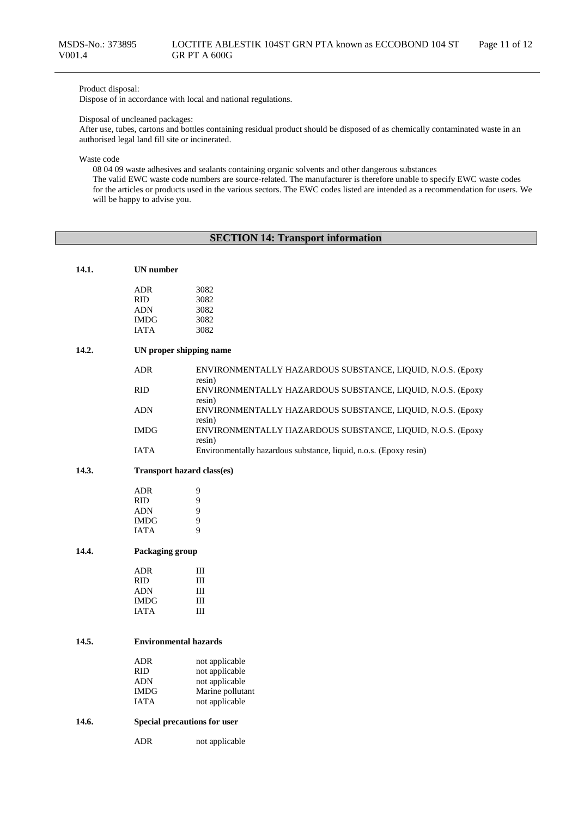# Product disposal:

Dispose of in accordance with local and national regulations.

#### Disposal of uncleaned packages:

After use, tubes, cartons and bottles containing residual product should be disposed of as chemically contaminated waste in an authorised legal land fill site or incinerated.

Waste code

08 04 09 waste adhesives and sealants containing organic solvents and other dangerous substances

The valid EWC waste code numbers are source-related. The manufacturer is therefore unable to specify EWC waste codes for the articles or products used in the various sectors. The EWC codes listed are intended as a recommendation for users. We will be happy to advise you.

# **SECTION 14: Transport information**

| 14.1.<br><b>UN</b> number |  |
|---------------------------|--|
|---------------------------|--|

| ADR  | 3082 |
|------|------|
| RID  | 3082 |
| ADN  | 3082 |
| IMDG | 3082 |
| IATA | 3082 |
|      |      |

# **14.2. UN proper shipping name**

| ADR  | ENVIRONMENTALLY HAZARDOUS SUBSTANCE, LIQUID, N.O.S. (Epoxy<br>resin) |
|------|----------------------------------------------------------------------|
| RID  | ENVIRONMENTALLY HAZARDOUS SUBSTANCE, LIQUID, N.O.S. (Epoxy<br>resin) |
| ADN  | ENVIRONMENTALLY HAZARDOUS SUBSTANCE, LIQUID, N.O.S. (Epoxy<br>resin) |
| IMDG | ENVIRONMENTALLY HAZARDOUS SUBSTANCE, LIQUID, N.O.S. (Epoxy<br>resin) |
| IATA | Environmentally hazardous substance, liquid, n.o.s. (Epoxy resin)    |

#### **14.3. Transport hazard class(es)**

| ADR         | 9 |
|-------------|---|
| <b>RID</b>  | 9 |
| <b>ADN</b>  | 9 |
| <b>IMDG</b> | 9 |
| <b>IATA</b> | 9 |

## **14.4. Packaging group**

| ADR         | Ш |
|-------------|---|
| <b>RID</b>  | Ш |
| <b>ADN</b>  | Ш |
| <b>IMDG</b> | Ш |
| <b>JATA</b> | Ш |

## **14.5. Environmental hazards**

| not applicable   |
|------------------|
| not applicable   |
| not applicable   |
| Marine pollutant |
| not applicable   |
|                  |

#### **14.6. Special precautions for user**

ADR not applicable